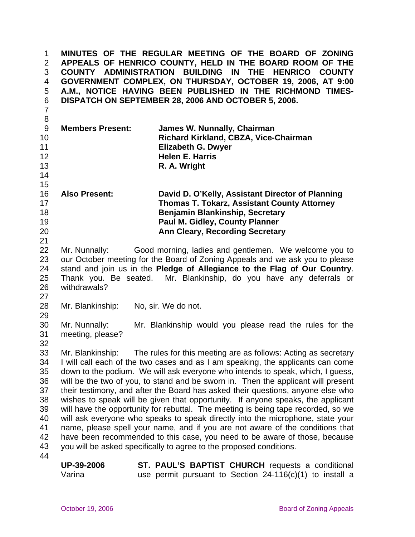**MINUTES OF THE REGULAR MEETING OF THE BOARD OF ZONING APPEALS OF HENRICO COUNTY, HELD IN THE BOARD ROOM OF THE COUNTY ADMINISTRATION BUILDING IN THE HENRICO COUNTY GOVERNMENT COMPLEX, ON THURSDAY, OCTOBER 19, 2006, AT 9:00 A.M., NOTICE HAVING BEEN PUBLISHED IN THE RICHMOND TIMES-DISPATCH ON SEPTEMBER 28, 2006 AND OCTOBER 5, 2006.**  1 2 3 4 5 6 7 8 9 10 11 12 13 14 15 16 17 18 19 20 21 22 23 24 25 26 27 28 29 30 31 32 33 34 35 36 37 38 39 40 41 42 43 44 **Members Present: James W. Nunnally, Chairman Richard Kirkland, CBZA, Vice-Chairman Elizabeth G. Dwyer Helen E. Harris R. A. Wright Also Present: David D. O'Kelly, Assistant Director of Planning Thomas T. Tokarz, Assistant County Attorney Benjamin Blankinship, Secretary Paul M. Gidley, County Planner Ann Cleary, Recording Secretary**  Mr. Nunnally: Good morning, ladies and gentlemen. We welcome you to our October meeting for the Board of Zoning Appeals and we ask you to please stand and join us in the **Pledge of Allegiance to the Flag of Our Country**. Thank you. Be seated. Mr. Blankinship, do you have any deferrals or withdrawals? Mr. Blankinship: No, sir. We do not. Mr. Nunnally: Mr. Blankinship would you please read the rules for the meeting, please? Mr. Blankinship: The rules for this meeting are as follows: Acting as secretary I will call each of the two cases and as I am speaking, the applicants can come down to the podium. We will ask everyone who intends to speak, which, I guess, will be the two of you, to stand and be sworn in. Then the applicant will present their testimony, and after the Board has asked their questions, anyone else who wishes to speak will be given that opportunity. If anyone speaks, the applicant will have the opportunity for rebuttal. The meeting is being tape recorded, so we will ask everyone who speaks to speak directly into the microphone, state your name, please spell your name, and if you are not aware of the conditions that have been recommended to this case, you need to be aware of those, because you will be asked specifically to agree to the proposed conditions. **UP-39-2006**  Varina **ST. PAUL'S BAPTIST CHURCH** requests a conditional use permit pursuant to Section 24-116(c)(1) to install a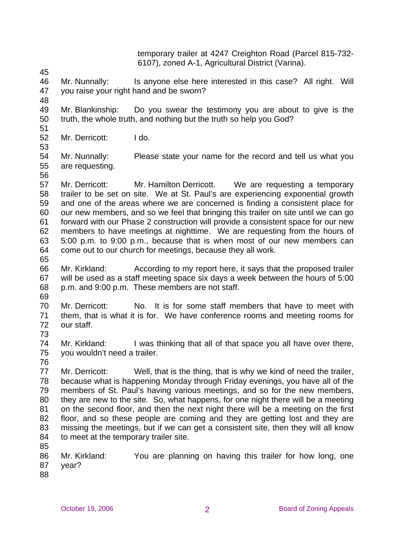temporary trailer at 4247 Creighton Road (Parcel 815-732- 6107), zoned A-1, Agricultural District (Varina).

45

46 47 Mr. Nunnally: Is anyone else here interested in this case? All right. Will you raise your right hand and be sworn?

48

49 50 51 Mr. Blankinship: Do you swear the testimony you are about to give is the truth, the whole truth, and nothing but the truth so help you God?

- 52 Mr. Derricott: I do.
- 53

54 55 Mr. Nunnally: Please state your name for the record and tell us what you are requesting.

56

57 58 59 60 61 62 63 64 65 Mr. Derricott: Mr. Hamilton Derricott. We are requesting a temporary trailer to be set on site. We at St. Paul's are experiencing exponential growth and one of the areas where we are concerned is finding a consistent place for our new members, and so we feel that bringing this trailer on site until we can go forward with our Phase 2 construction will provide a consistent space for our new members to have meetings at nighttime. We are requesting from the hours of 5:00 p.m. to 9:00 p.m., because that is when most of our new members can come out to our church for meetings, because they all work.

- 66 67 68 Mr. Kirkland: According to my report here, it says that the proposed trailer will be used as a staff meeting space six days a week between the hours of 5:00 p.m. and 9:00 p.m. These members are not staff.
- 69

70 71 72 Mr. Derricott: No. It is for some staff members that have to meet with them, that is what it is for. We have conference rooms and meeting rooms for our staff.

74 75 Mr. Kirkland: I was thinking that all of that space you all have over there, you wouldn't need a trailer.

76

73

77 78 79 80 81 82 83 84 Mr. Derricott: Well, that is the thing, that is why we kind of need the trailer, because what is happening Monday through Friday evenings, you have all of the members of St. Paul's having various meetings, and so for the new members, they are new to the site. So, what happens, for one night there will be a meeting on the second floor, and then the next night there will be a meeting on the first floor, and so these people are coming and they are getting lost and they are missing the meetings, but if we can get a consistent site, then they will all know to meet at the temporary trailer site.

86 87 Mr. Kirkland: You are planning on having this trailer for how long, one year?

88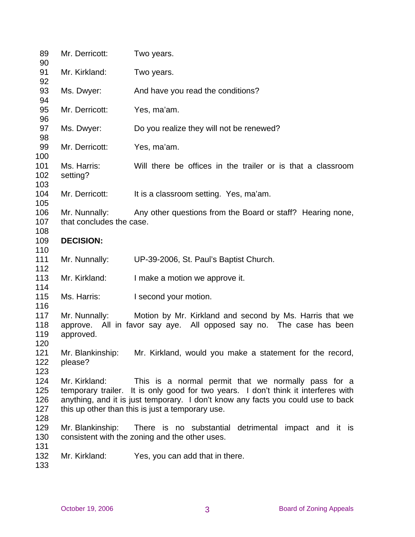| 89<br>90                 | Mr. Derricott:                                                                                                                                                                                                                                                                                     | Two years.                                                                                                                                    |  |  |  |  |  |
|--------------------------|----------------------------------------------------------------------------------------------------------------------------------------------------------------------------------------------------------------------------------------------------------------------------------------------------|-----------------------------------------------------------------------------------------------------------------------------------------------|--|--|--|--|--|
| 91<br>92                 | Mr. Kirkland:                                                                                                                                                                                                                                                                                      | Two years.                                                                                                                                    |  |  |  |  |  |
| 93                       | Ms. Dwyer:                                                                                                                                                                                                                                                                                         | And have you read the conditions?                                                                                                             |  |  |  |  |  |
| 94<br>95                 | Mr. Derricott:                                                                                                                                                                                                                                                                                     | Yes, ma'am.                                                                                                                                   |  |  |  |  |  |
| 96<br>97                 | Ms. Dwyer:                                                                                                                                                                                                                                                                                         | Do you realize they will not be renewed?                                                                                                      |  |  |  |  |  |
| 98<br>99                 | Mr. Derricott:                                                                                                                                                                                                                                                                                     | Yes, ma'am.                                                                                                                                   |  |  |  |  |  |
| 100<br>101<br>102        | Ms. Harris:<br>setting?                                                                                                                                                                                                                                                                            | Will there be offices in the trailer or is that a classroom                                                                                   |  |  |  |  |  |
| 103<br>104<br>105        | Mr. Derricott:                                                                                                                                                                                                                                                                                     | It is a classroom setting. Yes, ma'am.                                                                                                        |  |  |  |  |  |
| 106<br>107               | that concludes the case.                                                                                                                                                                                                                                                                           | Mr. Nunnally: Any other questions from the Board or staff? Hearing none,                                                                      |  |  |  |  |  |
| 108<br>109               | <b>DECISION:</b>                                                                                                                                                                                                                                                                                   |                                                                                                                                               |  |  |  |  |  |
| 110<br>111               | Mr. Nunnally:                                                                                                                                                                                                                                                                                      | UP-39-2006, St. Paul's Baptist Church.                                                                                                        |  |  |  |  |  |
| 112<br>113               | Mr. Kirkland:                                                                                                                                                                                                                                                                                      | I make a motion we approve it.                                                                                                                |  |  |  |  |  |
| 114<br>115               | Ms. Harris:                                                                                                                                                                                                                                                                                        | I second your motion.                                                                                                                         |  |  |  |  |  |
| 116<br>117<br>118<br>119 | approved.                                                                                                                                                                                                                                                                                          | Mr. Nunnally: Motion by Mr. Kirkland and second by Ms. Harris that we<br>approve. All in favor say aye. All opposed say no. The case has been |  |  |  |  |  |
| 120<br>121<br>122<br>123 | please?                                                                                                                                                                                                                                                                                            | Mr. Blankinship: Mr. Kirkland, would you make a statement for the record,                                                                     |  |  |  |  |  |
| 124<br>125<br>126<br>127 | Mr. Kirkland:<br>This is a normal permit that we normally pass for a<br>temporary trailer. It is only good for two years. I don't think it interferes with<br>anything, and it is just temporary. I don't know any facts you could use to back<br>this up other than this is just a temporary use. |                                                                                                                                               |  |  |  |  |  |
| 128<br>129<br>130        | Mr. Blankinship:                                                                                                                                                                                                                                                                                   | There is no substantial detrimental impact and it is<br>consistent with the zoning and the other uses.                                        |  |  |  |  |  |
| 131<br>132<br>133        | Mr. Kirkland:                                                                                                                                                                                                                                                                                      | Yes, you can add that in there.                                                                                                               |  |  |  |  |  |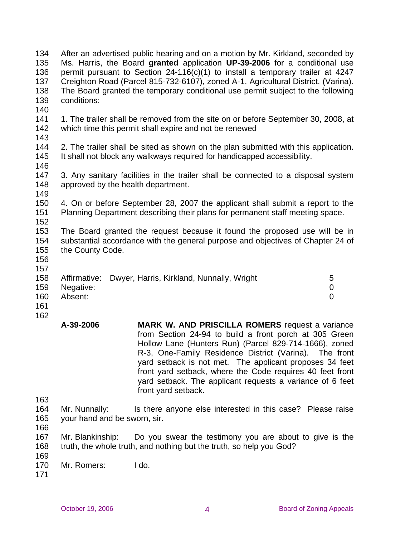| 134<br>135<br>136<br>137<br>138<br>139<br>140 | After an advertised public hearing and on a motion by Mr. Kirkland, seconded by<br>Ms. Harris, the Board granted application UP-39-2006 for a conditional use<br>permit pursuant to Section 24-116(c)(1) to install a temporary trailer at 4247<br>Creighton Road (Parcel 815-732-6107), zoned A-1, Agricultural District, (Varina).<br>The Board granted the temporary conditional use permit subject to the following<br>conditions: |                                                                                                                                                                                                                                                                                                                                                                                                                                                  |                                    |  |  |
|-----------------------------------------------|----------------------------------------------------------------------------------------------------------------------------------------------------------------------------------------------------------------------------------------------------------------------------------------------------------------------------------------------------------------------------------------------------------------------------------------|--------------------------------------------------------------------------------------------------------------------------------------------------------------------------------------------------------------------------------------------------------------------------------------------------------------------------------------------------------------------------------------------------------------------------------------------------|------------------------------------|--|--|
| 141<br>142<br>143                             |                                                                                                                                                                                                                                                                                                                                                                                                                                        | 1. The trailer shall be removed from the site on or before September 30, 2008, at<br>which time this permit shall expire and not be renewed                                                                                                                                                                                                                                                                                                      |                                    |  |  |
| 144<br>145<br>146                             | 2. The trailer shall be sited as shown on the plan submitted with this application.<br>It shall not block any walkways required for handicapped accessibility.                                                                                                                                                                                                                                                                         |                                                                                                                                                                                                                                                                                                                                                                                                                                                  |                                    |  |  |
| 147<br>148<br>149                             | 3. Any sanitary facilities in the trailer shall be connected to a disposal system<br>approved by the health department.                                                                                                                                                                                                                                                                                                                |                                                                                                                                                                                                                                                                                                                                                                                                                                                  |                                    |  |  |
| 150<br>151<br>152                             | 4. On or before September 28, 2007 the applicant shall submit a report to the<br>Planning Department describing their plans for permanent staff meeting space.                                                                                                                                                                                                                                                                         |                                                                                                                                                                                                                                                                                                                                                                                                                                                  |                                    |  |  |
| 153<br>154<br>155<br>156<br>157               | The Board granted the request because it found the proposed use will be in<br>substantial accordance with the general purpose and objectives of Chapter 24 of<br>the County Code.                                                                                                                                                                                                                                                      |                                                                                                                                                                                                                                                                                                                                                                                                                                                  |                                    |  |  |
| 158<br>159<br>160<br>161<br>162               | Affirmative:<br>Negative:<br>Absent:                                                                                                                                                                                                                                                                                                                                                                                                   | Dwyer, Harris, Kirkland, Nunnally, Wright                                                                                                                                                                                                                                                                                                                                                                                                        | 5<br>$\mathbf 0$<br>$\overline{0}$ |  |  |
|                                               | A-39-2006                                                                                                                                                                                                                                                                                                                                                                                                                              | <b>MARK W. AND PRISCILLA ROMERS</b> request a variance<br>from Section 24-94 to build a front porch at 305 Green<br>Hollow Lane (Hunters Run) (Parcel 829-714-1666), zoned<br>R-3, One-Family Residence District (Varina). The front<br>yard setback is not met. The applicant proposes 34 feet<br>front yard setback, where the Code requires 40 feet front<br>yard setback. The applicant requests a variance of 6 feet<br>front yard setback. |                                    |  |  |
| 163<br>164<br>165<br>166                      | Mr. Nunnally:                                                                                                                                                                                                                                                                                                                                                                                                                          | Is there anyone else interested in this case? Please raise<br>your hand and be sworn, sir.                                                                                                                                                                                                                                                                                                                                                       |                                    |  |  |

167 168 169 Mr. Blankinship: Do you swear the testimony you are about to give is the truth, the whole truth, and nothing but the truth, so help you God?

- 170 Mr. Romers: I do.
- 171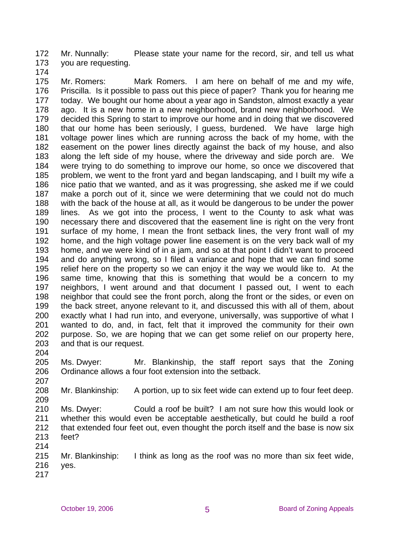172 173 Mr. Nunnally: Please state your name for the record, sir, and tell us what you are requesting.

174

175 176 177 178 179 180 181 182 183 184 185 186 187 188 189 190 191 192 193 194 195 196 197 198 199 200 201 202 203 Mr. Romers: Mark Romers. I am here on behalf of me and my wife, Priscilla. Is it possible to pass out this piece of paper? Thank you for hearing me today. We bought our home about a year ago in Sandston, almost exactly a year ago. It is a new home in a new neighborhood, brand new neighborhood. We decided this Spring to start to improve our home and in doing that we discovered that our home has been seriously, I guess, burdened. We have large high voltage power lines which are running across the back of my home, with the easement on the power lines directly against the back of my house, and also along the left side of my house, where the driveway and side porch are. We were trying to do something to improve our home, so once we discovered that problem, we went to the front yard and began landscaping, and I built my wife a nice patio that we wanted, and as it was progressing, she asked me if we could make a porch out of it, since we were determining that we could not do much with the back of the house at all, as it would be dangerous to be under the power lines. As we got into the process, I went to the County to ask what was necessary there and discovered that the easement line is right on the very front surface of my home, I mean the front setback lines, the very front wall of my home, and the high voltage power line easement is on the very back wall of my home, and we were kind of in a jam, and so at that point I didn't want to proceed and do anything wrong, so I filed a variance and hope that we can find some relief here on the property so we can enjoy it the way we would like to. At the same time, knowing that this is something that would be a concern to my neighbors, I went around and that document I passed out, I went to each neighbor that could see the front porch, along the front or the sides, or even on the back street, anyone relevant to it, and discussed this with all of them, about exactly what I had run into, and everyone, universally, was supportive of what I wanted to do, and, in fact, felt that it improved the community for their own purpose. So, we are hoping that we can get some relief on our property here, and that is our request.

204

205 206 Ms. Dwyer: Mr. Blankinship, the staff report says that the Zoning Ordinance allows a four foot extension into the setback.

207 208

209 Mr. Blankinship: A portion, up to six feet wide can extend up to four feet deep.

- 210 211 212 213 Ms. Dwyer: Could a roof be built? I am not sure how this would look or whether this would even be acceptable aesthetically, but could he build a roof that extended four feet out, even thought the porch itself and the base is now six feet?
- 214

215 216 Mr. Blankinship: I think as long as the roof was no more than six feet wide, yes.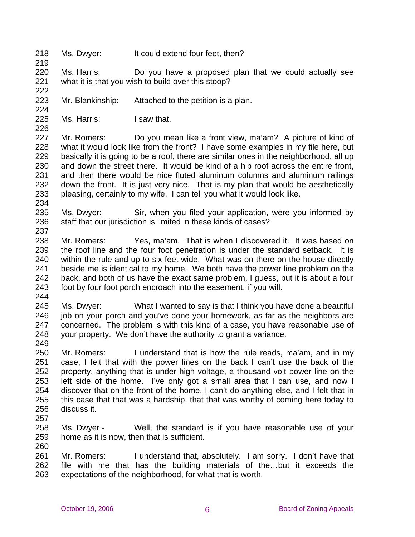218 Ms. Dwyer: It could extend four feet, then?

220 221 Ms. Harris: Do you have a proposed plan that we could actually see what it is that you wish to build over this stoop?

222 223

224

226

219

Mr. Blankinship: Attached to the petition is a plan.

225 Ms. Harris: I saw that.

227 228 229 230 231 232 233 Mr. Romers: Do you mean like a front view, ma'am? A picture of kind of what it would look like from the front? I have some examples in my file here, but basically it is going to be a roof, there are similar ones in the neighborhood, all up and down the street there. It would be kind of a hip roof across the entire front, and then there would be nice fluted aluminum columns and aluminum railings down the front. It is just very nice. That is my plan that would be aesthetically pleasing, certainly to my wife. I can tell you what it would look like.

234

235 236 237 Ms. Dwyer: Sir, when you filed your application, were you informed by staff that our jurisdiction is limited in these kinds of cases?

- 238 239 240 241 242 243 Mr. Romers: Yes, ma'am. That is when I discovered it. It was based on the roof line and the four foot penetration is under the standard setback. It is within the rule and up to six feet wide. What was on there on the house directly beside me is identical to my home. We both have the power line problem on the back, and both of us have the exact same problem, I guess, but it is about a four foot by four foot porch encroach into the easement, if you will.
- 244

245 246 247 248 Ms. Dwyer: What I wanted to say is that I think you have done a beautiful job on your porch and you've done your homework, as far as the neighbors are concerned. The problem is with this kind of a case, you have reasonable use of your property. We don't have the authority to grant a variance.

249

250 251 252 253 254 255 256 Mr. Romers: I understand that is how the rule reads, ma'am, and in my case, I felt that with the power lines on the back I can't use the back of the property, anything that is under high voltage, a thousand volt power line on the left side of the home. I've only got a small area that I can use, and now I discover that on the front of the home, I can't do anything else, and I felt that in this case that that was a hardship, that that was worthy of coming here today to discuss it.

257

258 259 260 Ms. Dwyer - Well, the standard is if you have reasonable use of your home as it is now, then that is sufficient.

261 262 263 Mr. Romers: I understand that, absolutely. I am sorry. I don't have that file with me that has the building materials of the…but it exceeds the expectations of the neighborhood, for what that is worth.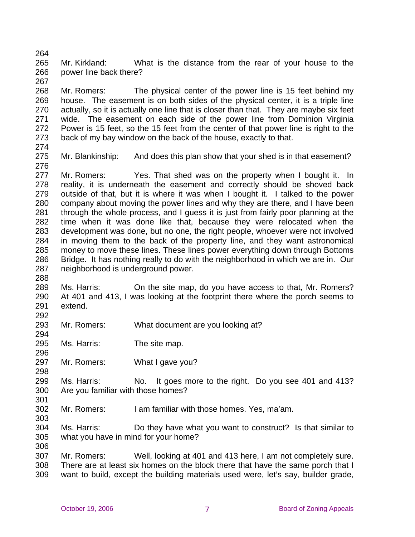265 266 Mr. Kirkland: What is the distance from the rear of your house to the power line back there?

268 269 270 271 272 273 Mr. Romers: The physical center of the power line is 15 feet behind my house. The easement is on both sides of the physical center, it is a triple line actually, so it is actually one line that is closer than that. They are maybe six feet wide. The easement on each side of the power line from Dominion Virginia Power is 15 feet, so the 15 feet from the center of that power line is right to the back of my bay window on the back of the house, exactly to that.

274

294

296

264

267

275 276 Mr. Blankinship: And does this plan show that your shed is in that easement?

277 278 279 280 281 282 283 284 285 286 287 288 Mr. Romers: Yes. That shed was on the property when I bought it. In reality, it is underneath the easement and correctly should be shoved back outside of that, but it is where it was when I bought it. I talked to the power company about moving the power lines and why they are there, and I have been through the whole process, and I guess it is just from fairly poor planning at the time when it was done like that, because they were relocated when the development was done, but no one, the right people, whoever were not involved in moving them to the back of the property line, and they want astronomical money to move these lines. These lines power everything down through Bottoms Bridge. It has nothing really to do with the neighborhood in which we are in. Our neighborhood is underground power.

289 290 291 292 Ms. Harris: On the site map, do you have access to that, Mr. Romers? At 401 and 413, I was looking at the footprint there where the porch seems to extend.

293 Mr. Romers: What document are you looking at?

295 Ms. Harris: The site map.

297 298 Mr. Romers: What I gave you?

299 300 301 Ms. Harris: No. It goes more to the right. Do you see 401 and 413? Are you familiar with those homes?

302 303 Mr. Romers: I am familiar with those homes. Yes, ma'am.

304 305 306 Ms. Harris: Do they have what you want to construct? Is that similar to what you have in mind for your home?

307 308 309 Mr. Romers: Well, looking at 401 and 413 here, I am not completely sure. There are at least six homes on the block there that have the same porch that I want to build, except the building materials used were, let's say, builder grade,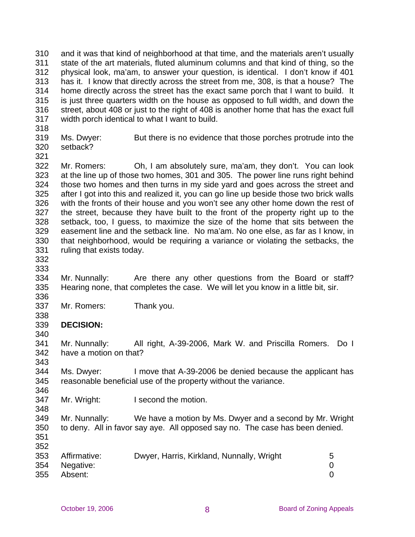310 311 312 313 314 315 316 317 and it was that kind of neighborhood at that time, and the materials aren't usually state of the art materials, fluted aluminum columns and that kind of thing, so the physical look, ma'am, to answer your question, is identical. I don't know if 401 has it. I know that directly across the street from me, 308, is that a house? The home directly across the street has the exact same porch that I want to build. It is just three quarters width on the house as opposed to full width, and down the street, about 408 or just to the right of 408 is another home that has the exact full width porch identical to what I want to build.

318

319 320 Ms. Dwyer: But there is no evidence that those porches protrude into the setback?

321

322 323 324 325 326 327 328 329 330 331 Mr. Romers: Oh, I am absolutely sure, ma'am, they don't. You can look at the line up of those two homes, 301 and 305. The power line runs right behind those two homes and then turns in my side yard and goes across the street and after I got into this and realized it, you can go line up beside those two brick walls with the fronts of their house and you won't see any other home down the rest of the street, because they have built to the front of the property right up to the setback, too, I guess, to maximize the size of the home that sits between the easement line and the setback line. No ma'am. No one else, as far as I know, in that neighborhood, would be requiring a variance or violating the setbacks, the ruling that exists today.

332

338

340

343

346

348

333

334 335 336 Mr. Nunnally: Are there any other questions from the Board or staff? Hearing none, that completes the case. We will let you know in a little bit, sir.

337 Mr. Romers: Thank you.

## 339 **DECISION:**

341 342 Mr. Nunnally: All right, A-39-2006, Mark W. and Priscilla Romers. Do I have a motion on that?

344 345 Ms. Dwyer: I move that A-39-2006 be denied because the applicant has reasonable beneficial use of the property without the variance.

347 Mr. Wright: I second the motion.

349 350 Mr. Nunnally: We have a motion by Ms. Dwyer and a second by Mr. Wright to deny. All in favor say aye. All opposed say no. The case has been denied.

| 353 Affirmative: | Dwyer, Harris, Kirkland, Nunnally, Wright |  |
|------------------|-------------------------------------------|--|
| 354 Negative:    |                                           |  |
| 355 Absent:      |                                           |  |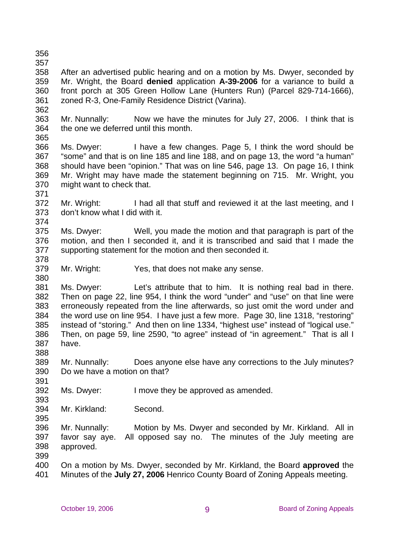- 356
- 357

358 359 360 361 362 After an advertised public hearing and on a motion by Ms. Dwyer, seconded by Mr. Wright, the Board **denied** application **A-39-2006** for a variance to build a front porch at 305 Green Hollow Lane (Hunters Run) (Parcel 829-714-1666), zoned R-3, One-Family Residence District (Varina).

363 364 Mr. Nunnally: Now we have the minutes for July 27, 2006. I think that is the one we deferred until this month.

365

366 367 368 369 370 371 Ms. Dwyer: I have a few changes. Page 5, I think the word should be "some" and that is on line 185 and line 188, and on page 13, the word "a human" should have been "opinion." That was on line 546, page 13. On page 16, I think Mr. Wright may have made the statement beginning on 715. Mr. Wright, you might want to check that.

372 373 374 Mr. Wright: I had all that stuff and reviewed it at the last meeting, and I don't know what I did with it.

375 376 377 378 Ms. Dwyer: Well, you made the motion and that paragraph is part of the motion, and then I seconded it, and it is transcribed and said that I made the supporting statement for the motion and then seconded it.

379 380 Mr. Wright: Yes, that does not make any sense.

381 382 383 384 385 386 387 Ms. Dwyer: Let's attribute that to him. It is nothing real bad in there. Then on page 22, line 954, I think the word "under" and "use" on that line were erroneously repeated from the line afterwards, so just omit the word under and the word use on line 954. I have just a few more. Page 30, line 1318, "restoring" instead of "storing." And then on line 1334, "highest use" instead of "logical use." Then, on page 59, line 2590, "to agree" instead of "in agreement." That is all I have.

389 390 Mr. Nunnally: Does anyone else have any corrections to the July minutes? Do we have a motion on that?

392 Ms. Dwyer: I move they be approved as amended.

394 Mr. Kirkland: Second.

396 397 398 Mr. Nunnally: Motion by Ms. Dwyer and seconded by Mr. Kirkland. All in favor say aye. All opposed say no. The minutes of the July meeting are approved.

399

388

391

393

395

400 401 On a motion by Ms. Dwyer, seconded by Mr. Kirkland, the Board **approved** the Minutes of the **July 27, 2006** Henrico County Board of Zoning Appeals meeting.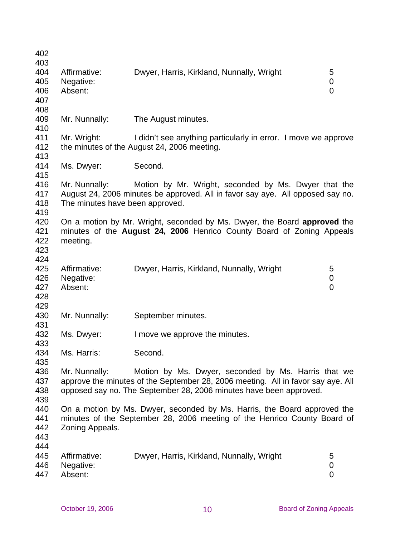| 402<br>403                      |                                                                                                                              |                                                                                                                                                                                                               |                          |  |  |
|---------------------------------|------------------------------------------------------------------------------------------------------------------------------|---------------------------------------------------------------------------------------------------------------------------------------------------------------------------------------------------------------|--------------------------|--|--|
| 404<br>405<br>406               | Affirmative:<br>Negative:<br>Absent:                                                                                         | Dwyer, Harris, Kirkland, Nunnally, Wright                                                                                                                                                                     | 5<br>0<br>0              |  |  |
| 407<br>408                      |                                                                                                                              |                                                                                                                                                                                                               |                          |  |  |
| 409<br>410                      | Mr. Nunnally:                                                                                                                | The August minutes.                                                                                                                                                                                           |                          |  |  |
| 411<br>412<br>413               | Mr. Wright:<br>I didn't see anything particularly in error. I move we approve<br>the minutes of the August 24, 2006 meeting. |                                                                                                                                                                                                               |                          |  |  |
| 414<br>415                      | Ms. Dwyer:                                                                                                                   | Second.                                                                                                                                                                                                       |                          |  |  |
| 416<br>417<br>418<br>419        | Mr. Nunnally:<br>The minutes have been approved.                                                                             | Motion by Mr. Wright, seconded by Ms. Dwyer that the<br>August 24, 2006 minutes be approved. All in favor say aye. All opposed say no.                                                                        |                          |  |  |
| 420<br>421<br>422<br>423<br>424 | meeting.                                                                                                                     | On a motion by Mr. Wright, seconded by Ms. Dwyer, the Board approved the<br>minutes of the August 24, 2006 Henrico County Board of Zoning Appeals                                                             |                          |  |  |
| 425<br>426<br>427<br>428        | Affirmative:<br>Negative:<br>Absent:                                                                                         | Dwyer, Harris, Kirkland, Nunnally, Wright                                                                                                                                                                     | 5<br>0<br>$\overline{0}$ |  |  |
| 429<br>430                      | Mr. Nunnally:                                                                                                                | September minutes.                                                                                                                                                                                            |                          |  |  |
| 431<br>432<br>433               | Ms. Dwyer:                                                                                                                   | I move we approve the minutes.                                                                                                                                                                                |                          |  |  |
| 434<br>435                      | Ms. Harris:                                                                                                                  | Second.                                                                                                                                                                                                       |                          |  |  |
| 436<br>437<br>438<br>439        | Mr. Nunnally:                                                                                                                | Motion by Ms. Dwyer, seconded by Ms. Harris that we<br>approve the minutes of the September 28, 2006 meeting. All in favor say aye. All<br>opposed say no. The September 28, 2006 minutes have been approved. |                          |  |  |
| 440<br>441<br>442<br>443        | Zoning Appeals.                                                                                                              | On a motion by Ms. Dwyer, seconded by Ms. Harris, the Board approved the<br>minutes of the September 28, 2006 meeting of the Henrico County Board of                                                          |                          |  |  |
| 444<br>445<br>446<br>447        | Affirmative:<br>Negative:<br>Absent:                                                                                         | Dwyer, Harris, Kirkland, Nunnally, Wright                                                                                                                                                                     | 5<br>0<br>0              |  |  |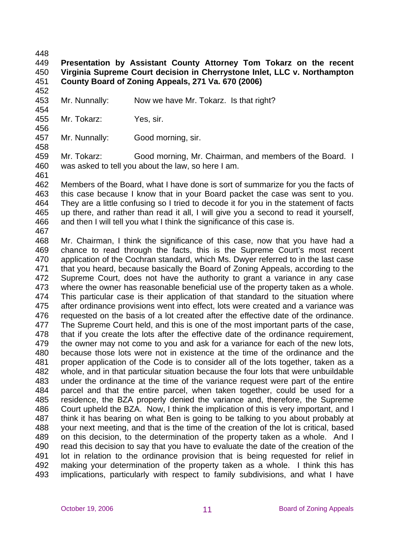448

## 449 450 451 **Presentation by Assistant County Attorney Tom Tokarz on the recent Virginia Supreme Court decision in Cherrystone Inlet, LLC v. Northampton County Board of Zoning Appeals, 271 Va. 670 (2006)**

452 453

454

456

Mr. Nunnally: Now we have Mr. Tokarz. Is that right?

455 Mr. Tokarz: Yes, sir.

457 Mr. Nunnally: Good morning, sir.

458

461

459 460 Mr. Tokarz: Good morning, Mr. Chairman, and members of the Board. I was asked to tell you about the law, so here I am.

462 463 464 465 466 Members of the Board, what I have done is sort of summarize for you the facts of this case because I know that in your Board packet the case was sent to you. They are a little confusing so I tried to decode it for you in the statement of facts up there, and rather than read it all, I will give you a second to read it yourself, and then I will tell you what I think the significance of this case is.

467

468 469 470 471 472 473 474 475 476 477 478 479 480 481 482 483 484 485 486 487 488 489 490 491 492 493 Mr. Chairman, I think the significance of this case, now that you have had a chance to read through the facts, this is the Supreme Court's most recent application of the Cochran standard, which Ms. Dwyer referred to in the last case that you heard, because basically the Board of Zoning Appeals, according to the Supreme Court, does not have the authority to grant a variance in any case where the owner has reasonable beneficial use of the property taken as a whole. This particular case is their application of that standard to the situation where after ordinance provisions went into effect, lots were created and a variance was requested on the basis of a lot created after the effective date of the ordinance. The Supreme Court held, and this is one of the most important parts of the case, that if you create the lots after the effective date of the ordinance requirement, the owner may not come to you and ask for a variance for each of the new lots, because those lots were not in existence at the time of the ordinance and the proper application of the Code is to consider all of the lots together, taken as a whole, and in that particular situation because the four lots that were unbuildable under the ordinance at the time of the variance request were part of the entire parcel and that the entire parcel, when taken together, could be used for a residence, the BZA properly denied the variance and, therefore, the Supreme Court upheld the BZA. Now, I think the implication of this is very important, and I think it has bearing on what Ben is going to be talking to you about probably at your next meeting, and that is the time of the creation of the lot is critical, based on this decision, to the determination of the property taken as a whole. And I read this decision to say that you have to evaluate the date of the creation of the lot in relation to the ordinance provision that is being requested for relief in making your determination of the property taken as a whole. I think this has implications, particularly with respect to family subdivisions, and what I have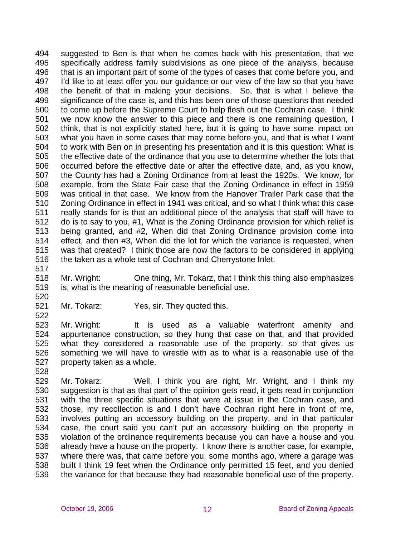494 495 496 497 498 499 500 501 502 503 504 505 506 507 508 509 510 511 512 513 514 515 516 suggested to Ben is that when he comes back with his presentation, that we specifically address family subdivisions as one piece of the analysis, because that is an important part of some of the types of cases that come before you, and I'd like to at least offer you our guidance or our view of the law so that you have the benefit of that in making your decisions. So, that is what I believe the significance of the case is, and this has been one of those questions that needed to come up before the Supreme Court to help flesh out the Cochran case. I think we now know the answer to this piece and there is one remaining question, I think, that is not explicitly stated here, but it is going to have some impact on what you have in some cases that may come before you, and that is what I want to work with Ben on in presenting his presentation and it is this question: What is the effective date of the ordinance that you use to determine whether the lots that occurred before the effective date or after the effective date, and, as you know, the County has had a Zoning Ordinance from at least the 1920s. We know, for example, from the State Fair case that the Zoning Ordinance in effect in 1959 was critical in that case. We know from the Hanover Trailer Park case that the Zoning Ordinance in effect in 1941 was critical, and so what I think what this case really stands for is that an additional piece of the analysis that staff will have to do is to say to you, #1, What is the Zoning Ordinance provision for which relief is being granted, and #2, When did that Zoning Ordinance provision come into effect, and then #3, When did the lot for which the variance is requested, when was that created? I think those are now the factors to be considered in applying the taken as a whole test of Cochran and Cherrystone Inlet.

517

518 519 Mr. Wright: One thing, Mr. Tokarz, that I think this thing also emphasizes is, what is the meaning of reasonable beneficial use.

520

521 522 Mr. Tokarz: Yes, sir. They quoted this.

523 524 525 526 527 Mr. Wright: It is used as a valuable waterfront amenity and appurtenance construction, so they hung that case on that, and that provided what they considered a reasonable use of the property, so that gives us something we will have to wrestle with as to what is a reasonable use of the property taken as a whole.

528

529 530 531 532 533 534 535 536 537 538 539 Mr. Tokarz: Well, I think you are right, Mr. Wright, and I think my suggestion is that as that part of the opinion gets read, it gets read in conjunction with the three specific situations that were at issue in the Cochran case, and those, my recollection is and I don't have Cochran right here in front of me, involves putting an accessory building on the property, and in that particular case, the court said you can't put an accessory building on the property in violation of the ordinance requirements because you can have a house and you already have a house on the property. I know there is another case, for example, where there was, that came before you, some months ago, where a garage was built I think 19 feet when the Ordinance only permitted 15 feet, and you denied the variance for that because they had reasonable beneficial use of the property.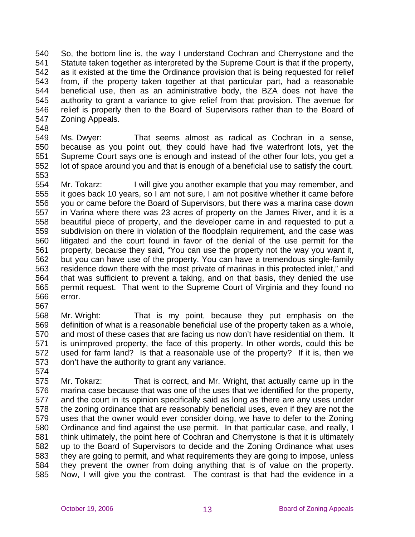540 541 542 543 544 545 546 547 So, the bottom line is, the way I understand Cochran and Cherrystone and the Statute taken together as interpreted by the Supreme Court is that if the property, as it existed at the time the Ordinance provision that is being requested for relief from, if the property taken together at that particular part, had a reasonable beneficial use, then as an administrative body, the BZA does not have the authority to grant a variance to give relief from that provision. The avenue for relief is properly then to the Board of Supervisors rather than to the Board of Zoning Appeals.

548

549 550 551 552 553 Ms. Dwyer: That seems almost as radical as Cochran in a sense, because as you point out, they could have had five waterfront lots, yet the Supreme Court says one is enough and instead of the other four lots, you get a lot of space around you and that is enough of a beneficial use to satisfy the court.

554 555 556 557 558 559 560 561 562 563 564 565 566 Mr. Tokarz: I will give you another example that you may remember, and it goes back 10 years, so I am not sure, I am not positive whether it came before you or came before the Board of Supervisors, but there was a marina case down in Varina where there was 23 acres of property on the James River, and it is a beautiful piece of property, and the developer came in and requested to put a subdivision on there in violation of the floodplain requirement, and the case was litigated and the court found in favor of the denial of the use permit for the property, because they said, "You can use the property not the way you want it, but you can have use of the property. You can have a tremendous single-family residence down there with the most private of marinas in this protected inlet," and that was sufficient to prevent a taking, and on that basis, they denied the use permit request. That went to the Supreme Court of Virginia and they found no error.

568 569 570 571 572 573 Mr. Wright: That is my point, because they put emphasis on the definition of what is a reasonable beneficial use of the property taken as a whole, and most of these cases that are facing us now don't have residential on them. It is unimproved property, the face of this property. In other words, could this be used for farm land? Is that a reasonable use of the property? If it is, then we don't have the authority to grant any variance.

574

567

575 576 577 578 579 580 581 582 583 584 585 Mr. Tokarz: That is correct, and Mr. Wright, that actually came up in the marina case because that was one of the uses that we identified for the property, and the court in its opinion specifically said as long as there are any uses under the zoning ordinance that are reasonably beneficial uses, even if they are not the uses that the owner would ever consider doing, we have to defer to the Zoning Ordinance and find against the use permit. In that particular case, and really, I think ultimately, the point here of Cochran and Cherrystone is that it is ultimately up to the Board of Supervisors to decide and the Zoning Ordinance what uses they are going to permit, and what requirements they are going to impose, unless they prevent the owner from doing anything that is of value on the property. Now, I will give you the contrast. The contrast is that had the evidence in a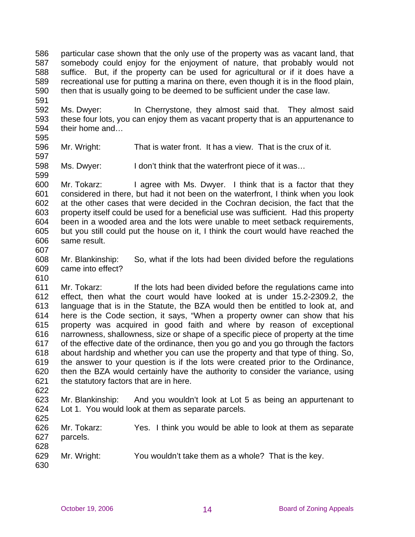586 587 588 589 590 particular case shown that the only use of the property was as vacant land, that somebody could enjoy for the enjoyment of nature, that probably would not suffice. But, if the property can be used for agricultural or if it does have a recreational use for putting a marina on there, even though it is in the flood plain, then that is usually going to be deemed to be sufficient under the case law.

592 593 594 Ms. Dwyer: In Cherrystone, they almost said that. They almost said these four lots, you can enjoy them as vacant property that is an appurtenance to their home and…

595

599

591

596 597 Mr. Wright: That is water front. It has a view. That is the crux of it.

598 Ms. Dwyer: I don't think that the waterfront piece of it was...

600 601 602 603 604 605 606 Mr. Tokarz: I agree with Ms. Dwyer. I think that is a factor that they considered in there, but had it not been on the waterfront, I think when you look at the other cases that were decided in the Cochran decision, the fact that the property itself could be used for a beneficial use was sufficient. Had this property been in a wooded area and the lots were unable to meet setback requirements, but you still could put the house on it, I think the court would have reached the same result.

607

608 609 Mr. Blankinship: So, what if the lots had been divided before the regulations came into effect?

610

611 612 613 614 615 616 617 618 619 620 621 Mr. Tokarz: If the lots had been divided before the regulations came into effect, then what the court would have looked at is under 15.2-2309.2, the language that is in the Statute, the BZA would then be entitled to look at, and here is the Code section, it says, "When a property owner can show that his property was acquired in good faith and where by reason of exceptional narrowness, shallowness, size or shape of a specific piece of property at the time of the effective date of the ordinance, then you go and you go through the factors about hardship and whether you can use the property and that type of thing. So, the answer to your question is if the lots were created prior to the Ordinance, then the BZA would certainly have the authority to consider the variance, using the statutory factors that are in here.

622

623 624 Mr. Blankinship: And you wouldn't look at Lot 5 as being an appurtenant to Lot 1. You would look at them as separate parcels.

| <u>vc</u> v |             |                                                            |
|-------------|-------------|------------------------------------------------------------|
| 626         | Mr. Tokarz: | Yes. I think you would be able to look at them as separate |
| 627         | parcels.    |                                                            |
| 628         |             |                                                            |
| 629         | Mr. Wright: | You wouldn't take them as a whole? That is the key.        |
| 630.        |             |                                                            |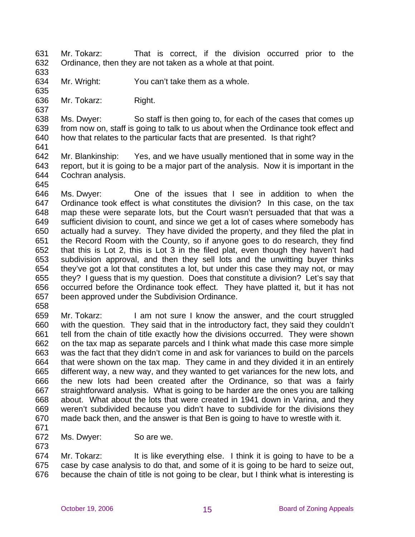- 631 632 Mr. Tokarz: That is correct, if the division occurred prior to the Ordinance, then they are not taken as a whole at that point.
- 633

634 Mr. Wright: You can't take them as a whole.

635 636

637

Mr. Tokarz: Right.

638 639 640 Ms. Dwyer: So staff is then going to, for each of the cases that comes up from now on, staff is going to talk to us about when the Ordinance took effect and how that relates to the particular facts that are presented. Is that right?

641

642 643 644 645 Mr. Blankinship: Yes, and we have usually mentioned that in some way in the report, but it is going to be a major part of the analysis. Now it is important in the Cochran analysis.

646 647 648 649 650 651 652 653 654 655 656 657 Ms. Dwyer: One of the issues that I see in addition to when the Ordinance took effect is what constitutes the division? In this case, on the tax map these were separate lots, but the Court wasn't persuaded that that was a sufficient division to count, and since we get a lot of cases where somebody has actually had a survey. They have divided the property, and they filed the plat in the Record Room with the County, so if anyone goes to do research, they find that this is Lot 2, this is Lot 3 in the filed plat, even though they haven't had subdivision approval, and then they sell lots and the unwitting buyer thinks they've got a lot that constitutes a lot, but under this case they may not, or may they? I guess that is my question. Does that constitute a division? Let's say that occurred before the Ordinance took effect. They have platted it, but it has not been approved under the Subdivision Ordinance.

658

659 660 661 662 663 664 665 666 667 668 669 670 Mr. Tokarz: I am not sure I know the answer, and the court struggled with the question. They said that in the introductory fact, they said they couldn't tell from the chain of title exactly how the divisions occurred. They were shown on the tax map as separate parcels and I think what made this case more simple was the fact that they didn't come in and ask for variances to build on the parcels that were shown on the tax map. They came in and they divided it in an entirely different way, a new way, and they wanted to get variances for the new lots, and the new lots had been created after the Ordinance, so that was a fairly straightforward analysis. What is going to be harder are the ones you are talking about. What about the lots that were created in 1941 down in Varina, and they weren't subdivided because you didn't have to subdivide for the divisions they made back then, and the answer is that Ben is going to have to wrestle with it.

671

672 Ms. Dwyer: So are we.

673

674 675 676 Mr. Tokarz: It is like everything else. I think it is going to have to be a case by case analysis to do that, and some of it is going to be hard to seize out, because the chain of title is not going to be clear, but I think what is interesting is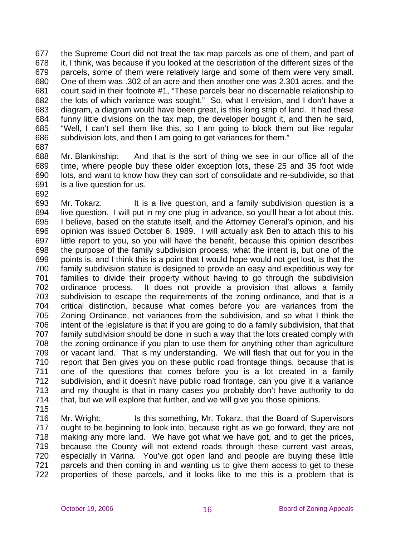677 678 679 680 681 682 683 684 685 686 the Supreme Court did not treat the tax map parcels as one of them, and part of it, I think, was because if you looked at the description of the different sizes of the parcels, some of them were relatively large and some of them were very small. One of them was .302 of an acre and then another one was 2.301 acres, and the court said in their footnote #1, "These parcels bear no discernable relationship to the lots of which variance was sought." So, what I envision, and I don't have a diagram, a diagram would have been great, is this long strip of land. It had these funny little divisions on the tax map, the developer bought it, and then he said, "Well, I can't sell them like this, so I am going to block them out like regular subdivision lots, and then I am going to get variances for them."

687

688 689 690 691 Mr. Blankinship: And that is the sort of thing we see in our office all of the time, where people buy these older exception lots, these 25 and 35 foot wide lots, and want to know how they can sort of consolidate and re-subdivide, so that is a live question for us.

692

693 694 695 696 697 698 699 700 701 702 703 704 705 706 707 708 709 710 711 712 713 714 Mr. Tokarz: It is a live question, and a family subdivision question is a live question. I will put in my one plug in advance, so you'll hear a lot about this. I believe, based on the statute itself, and the Attorney General's opinion, and his opinion was issued October 6, 1989. I will actually ask Ben to attach this to his little report to you, so you will have the benefit, because this opinion describes the purpose of the family subdivision process, what the intent is, but one of the points is, and I think this is a point that I would hope would not get lost, is that the family subdivision statute is designed to provide an easy and expeditious way for families to divide their property without having to go through the subdivision ordinance process. It does not provide a provision that allows a family subdivision to escape the requirements of the zoning ordinance, and that is a critical distinction, because what comes before you are variances from the Zoning Ordinance, not variances from the subdivision, and so what I think the intent of the legislature is that if you are going to do a family subdivision, that that family subdivision should be done in such a way that the lots created comply with the zoning ordinance if you plan to use them for anything other than agriculture or vacant land. That is my understanding. We will flesh that out for you in the report that Ben gives you on these public road frontage things, because that is one of the questions that comes before you is a lot created in a family subdivision, and it doesn't have public road frontage, can you give it a variance and my thought is that in many cases you probably don't have authority to do that, but we will explore that further, and we will give you those opinions.

715

716 717 718 719 720 721 722 Mr. Wright: Is this something, Mr. Tokarz, that the Board of Supervisors ought to be beginning to look into, because right as we go forward, they are not making any more land. We have got what we have got, and to get the prices, because the County will not extend roads through these current vast areas, especially in Varina. You've got open land and people are buying these little parcels and then coming in and wanting us to give them access to get to these properties of these parcels, and it looks like to me this is a problem that is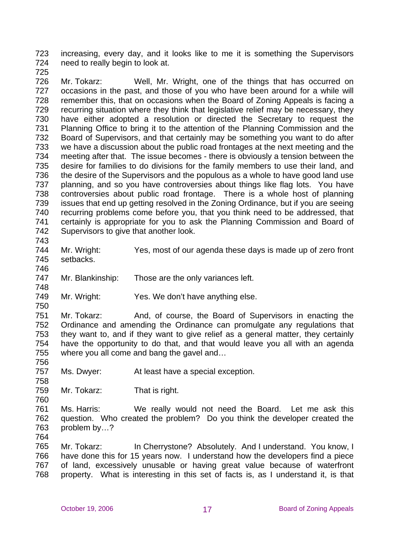723 724 increasing, every day, and it looks like to me it is something the Supervisors need to really begin to look at.

725

726 727 728 729 730 731 732 733 734 735 736 737 738 739 740 741 742 Mr. Tokarz: Well, Mr. Wright, one of the things that has occurred on occasions in the past, and those of you who have been around for a while will remember this, that on occasions when the Board of Zoning Appeals is facing a recurring situation where they think that legislative relief may be necessary, they have either adopted a resolution or directed the Secretary to request the Planning Office to bring it to the attention of the Planning Commission and the Board of Supervisors, and that certainly may be something you want to do after we have a discussion about the public road frontages at the next meeting and the meeting after that. The issue becomes - there is obviously a tension between the desire for families to do divisions for the family members to use their land, and the desire of the Supervisors and the populous as a whole to have good land use planning, and so you have controversies about things like flag lots. You have controversies about public road frontage. There is a whole host of planning issues that end up getting resolved in the Zoning Ordinance, but if you are seeing recurring problems come before you, that you think need to be addressed, that certainly is appropriate for you to ask the Planning Commission and Board of Supervisors to give that another look.

743

744 745 Mr. Wright: Yes, most of our agenda these days is made up of zero front setbacks.

746

748

750

747 Mr. Blankinship: Those are the only variances left.

749 Mr. Wright: Yes. We don't have anything else.

751 752 753 754 755 756 Mr. Tokarz: And, of course, the Board of Supervisors in enacting the Ordinance and amending the Ordinance can promulgate any regulations that they want to, and if they want to give relief as a general matter, they certainly have the opportunity to do that, and that would leave you all with an agenda where you all come and bang the gavel and…

757 Ms. Dwyer: At least have a special exception.

758 759 Mr. Tokarz: That is right.

761 762 763 Ms. Harris: We really would not need the Board. Let me ask this question. Who created the problem? Do you think the developer created the problem by…?

764

760

765 766 767 768 Mr. Tokarz: In Cherrystone? Absolutely. And I understand. You know, I have done this for 15 years now. I understand how the developers find a piece of land, excessively unusable or having great value because of waterfront property. What is interesting in this set of facts is, as I understand it, is that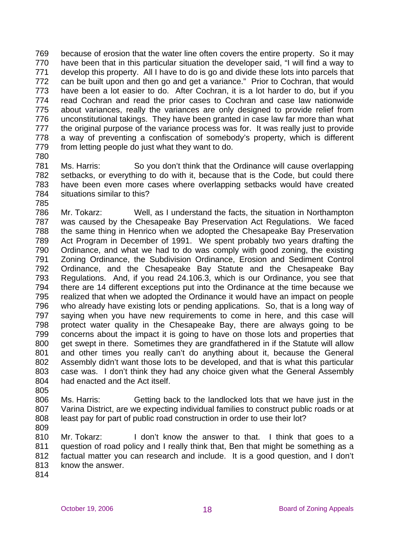769 770 771 772 773 774 775 776 777 778 779 because of erosion that the water line often covers the entire property. So it may have been that in this particular situation the developer said, "I will find a way to develop this property. All I have to do is go and divide these lots into parcels that can be built upon and then go and get a variance." Prior to Cochran, that would have been a lot easier to do. After Cochran, it is a lot harder to do, but if you read Cochran and read the prior cases to Cochran and case law nationwide about variances, really the variances are only designed to provide relief from unconstitutional takings. They have been granted in case law far more than what the original purpose of the variance process was for. It was really just to provide a way of preventing a confiscation of somebody's property, which is different from letting people do just what they want to do.

780

781 782 783 784 Ms. Harris: So you don't think that the Ordinance will cause overlapping setbacks, or everything to do with it, because that is the Code, but could there have been even more cases where overlapping setbacks would have created situations similar to this?

785

786 787 788 789 790 791 792 793 794 795 796 797 798 799 800 801 802 803 804 805 Mr. Tokarz: Well, as I understand the facts, the situation in Northampton was caused by the Chesapeake Bay Preservation Act Regulations. We faced the same thing in Henrico when we adopted the Chesapeake Bay Preservation Act Program in December of 1991. We spent probably two years drafting the Ordinance, and what we had to do was comply with good zoning, the existing Zoning Ordinance, the Subdivision Ordinance, Erosion and Sediment Control Ordinance, and the Chesapeake Bay Statute and the Chesapeake Bay Regulations. And, if you read 24.106.3, which is our Ordinance, you see that there are 14 different exceptions put into the Ordinance at the time because we realized that when we adopted the Ordinance it would have an impact on people who already have existing lots or pending applications. So, that is a long way of saying when you have new requirements to come in here, and this case will protect water quality in the Chesapeake Bay, there are always going to be concerns about the impact it is going to have on those lots and properties that get swept in there. Sometimes they are grandfathered in if the Statute will allow and other times you really can't do anything about it, because the General Assembly didn't want those lots to be developed, and that is what this particular case was. I don't think they had any choice given what the General Assembly had enacted and the Act itself.

806 807 808 Ms. Harris: Getting back to the landlocked lots that we have just in the Varina District, are we expecting individual families to construct public roads or at least pay for part of public road construction in order to use their lot?

809

810 811 812 813 Mr. Tokarz: I don't know the answer to that. I think that goes to a question of road policy and I really think that, Ben that might be something as a factual matter you can research and include. It is a good question, and I don't know the answer.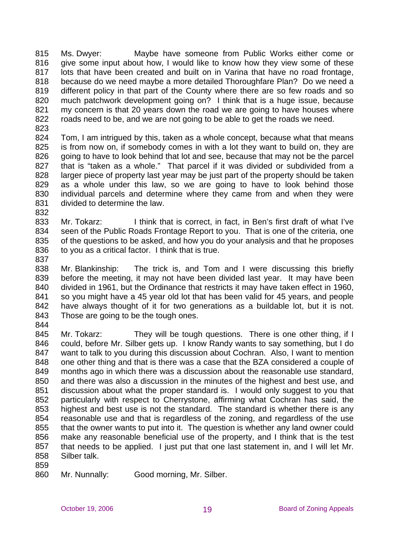815 816 817 818 819 820 821 822 Ms. Dwyer: Maybe have someone from Public Works either come or give some input about how, I would like to know how they view some of these lots that have been created and built on in Varina that have no road frontage, because do we need maybe a more detailed Thoroughfare Plan? Do we need a different policy in that part of the County where there are so few roads and so much patchwork development going on? I think that is a huge issue, because my concern is that 20 years down the road we are going to have houses where roads need to be, and we are not going to be able to get the roads we need.

823

824 825 826 827 828 829 830 831 Tom, I am intrigued by this, taken as a whole concept, because what that means is from now on, if somebody comes in with a lot they want to build on, they are going to have to look behind that lot and see, because that may not be the parcel that is "taken as a whole." That parcel if it was divided or subdivided from a larger piece of property last year may be just part of the property should be taken as a whole under this law, so we are going to have to look behind those individual parcels and determine where they came from and when they were divided to determine the law.

832

833 834 835 836 Mr. Tokarz: I think that is correct, in fact, in Ben's first draft of what I've seen of the Public Roads Frontage Report to you. That is one of the criteria, one of the questions to be asked, and how you do your analysis and that he proposes to you as a critical factor. I think that is true.

837

838 839 840 841 842 843 Mr. Blankinship: The trick is, and Tom and I were discussing this briefly before the meeting, it may not have been divided last year. It may have been divided in 1961, but the Ordinance that restricts it may have taken effect in 1960, so you might have a 45 year old lot that has been valid for 45 years, and people have always thought of it for two generations as a buildable lot, but it is not. Those are going to be the tough ones.

844

845 846 847 848 849 850 851 852 853 854 855 856 857 858 Mr. Tokarz: They will be tough questions. There is one other thing, if I could, before Mr. Silber gets up. I know Randy wants to say something, but I do want to talk to you during this discussion about Cochran. Also, I want to mention one other thing and that is there was a case that the BZA considered a couple of months ago in which there was a discussion about the reasonable use standard, and there was also a discussion in the minutes of the highest and best use, and discussion about what the proper standard is. I would only suggest to you that particularly with respect to Cherrystone, affirming what Cochran has said, the highest and best use is not the standard. The standard is whether there is any reasonable use and that is regardless of the zoning, and regardless of the use that the owner wants to put into it. The question is whether any land owner could make any reasonable beneficial use of the property, and I think that is the test that needs to be applied. I just put that one last statement in, and I will let Mr. Silber talk.

859

860 Mr. Nunnally: Good morning, Mr. Silber.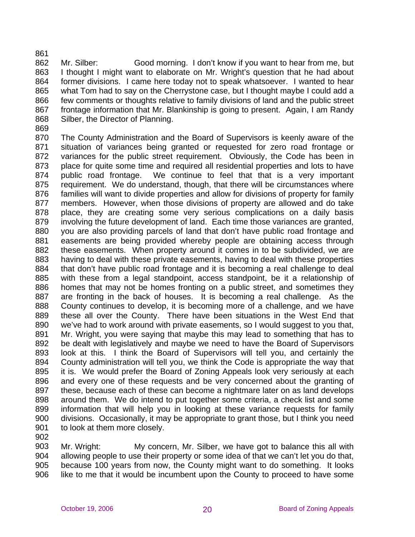861

862 863 864 865 866 867 868 Mr. Silber: Good morning. I don't know if you want to hear from me, but I thought I might want to elaborate on Mr. Wright's question that he had about former divisions. I came here today not to speak whatsoever. I wanted to hear what Tom had to say on the Cherrystone case, but I thought maybe I could add a few comments or thoughts relative to family divisions of land and the public street frontage information that Mr. Blankinship is going to present. Again, I am Randy Silber, the Director of Planning.

869

870 871 872 873 874 875 876 877 878 879 880 881 882 883 884 885 886 887 888 889 890 891 892 893 894 895 896 897 898 899 900 901 The County Administration and the Board of Supervisors is keenly aware of the situation of variances being granted or requested for zero road frontage or variances for the public street requirement. Obviously, the Code has been in place for quite some time and required all residential properties and lots to have public road frontage. We continue to feel that that is a very important requirement. We do understand, though, that there will be circumstances where families will want to divide properties and allow for divisions of property for family members. However, when those divisions of property are allowed and do take place, they are creating some very serious complications on a daily basis involving the future development of land. Each time those variances are granted, you are also providing parcels of land that don't have public road frontage and easements are being provided whereby people are obtaining access through these easements. When property around it comes in to be subdivided, we are having to deal with these private easements, having to deal with these properties that don't have public road frontage and it is becoming a real challenge to deal with these from a legal standpoint, access standpoint, be it a relationship of homes that may not be homes fronting on a public street, and sometimes they are fronting in the back of houses. It is becoming a real challenge. As the County continues to develop, it is becoming more of a challenge, and we have these all over the County. There have been situations in the West End that we've had to work around with private easements, so I would suggest to you that, Mr. Wright, you were saying that maybe this may lead to something that has to be dealt with legislatively and maybe we need to have the Board of Supervisors look at this. I think the Board of Supervisors will tell you, and certainly the County administration will tell you, we think the Code is appropriate the way that it is. We would prefer the Board of Zoning Appeals look very seriously at each and every one of these requests and be very concerned about the granting of these, because each of these can become a nightmare later on as land develops around them. We do intend to put together some criteria, a check list and some information that will help you in looking at these variance requests for family divisions. Occasionally, it may be appropriate to grant those, but I think you need to look at them more closely.

902

903 904 905 906 Mr. Wright: My concern, Mr. Silber, we have got to balance this all with allowing people to use their property or some idea of that we can't let you do that, because 100 years from now, the County might want to do something. It looks like to me that it would be incumbent upon the County to proceed to have some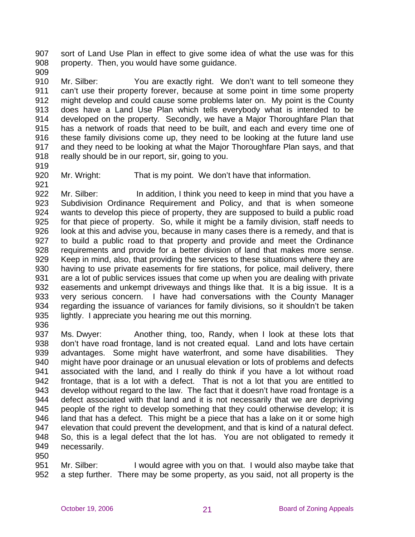907 908 sort of Land Use Plan in effect to give some idea of what the use was for this property. Then, you would have some guidance.

909

910 911 912 913 914 915 916 917 918 Mr. Silber: You are exactly right. We don't want to tell someone they can't use their property forever, because at some point in time some property might develop and could cause some problems later on. My point is the County does have a Land Use Plan which tells everybody what is intended to be developed on the property. Secondly, we have a Major Thoroughfare Plan that has a network of roads that need to be built, and each and every time one of these family divisions come up, they need to be looking at the future land use and they need to be looking at what the Major Thoroughfare Plan says, and that really should be in our report, sir, going to you.

- 919
- 920 921

Mr. Wright: That is my point. We don't have that information.

922 923 924 925 926 927 928 929 930 931 932 933 934 935 Mr. Silber: In addition, I think you need to keep in mind that you have a Subdivision Ordinance Requirement and Policy, and that is when someone wants to develop this piece of property, they are supposed to build a public road for that piece of property. So, while it might be a family division, staff needs to look at this and advise you, because in many cases there is a remedy, and that is to build a public road to that property and provide and meet the Ordinance requirements and provide for a better division of land that makes more sense. Keep in mind, also, that providing the services to these situations where they are having to use private easements for fire stations, for police, mail delivery, there are a lot of public services issues that come up when you are dealing with private easements and unkempt driveways and things like that. It is a big issue. It is a very serious concern. I have had conversations with the County Manager regarding the issuance of variances for family divisions, so it shouldn't be taken lightly. I appreciate you hearing me out this morning.

936

937 938 939 940 941 942 943 944 945 946 947 948 949 950 Ms. Dwyer: Another thing, too, Randy, when I look at these lots that don't have road frontage, land is not created equal. Land and lots have certain advantages. Some might have waterfront, and some have disabilities. They might have poor drainage or an unusual elevation or lots of problems and defects associated with the land, and I really do think if you have a lot without road frontage, that is a lot with a defect. That is not a lot that you are entitled to develop without regard to the law. The fact that it doesn't have road frontage is a defect associated with that land and it is not necessarily that we are depriving people of the right to develop something that they could otherwise develop; it is land that has a defect. This might be a piece that has a lake on it or some high elevation that could prevent the development, and that is kind of a natural defect. So, this is a legal defect that the lot has. You are not obligated to remedy it necessarily.

951 952 Mr. Silber: I would agree with you on that. I would also maybe take that a step further. There may be some property, as you said, not all property is the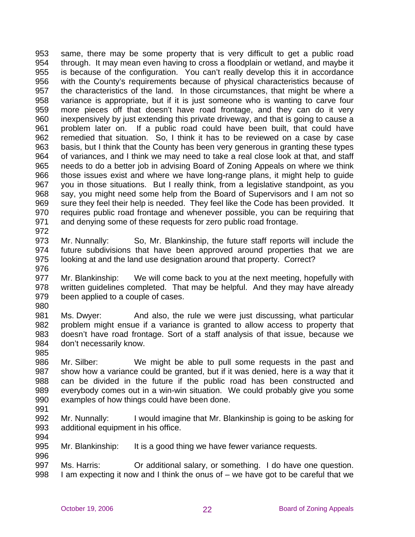953 954 955 956 957 958 959 960 961 962 963 964 965 966 967 968 969 970 971 972 same, there may be some property that is very difficult to get a public road through. It may mean even having to cross a floodplain or wetland, and maybe it is because of the configuration. You can't really develop this it in accordance with the County's requirements because of physical characteristics because of the characteristics of the land. In those circumstances, that might be where a variance is appropriate, but if it is just someone who is wanting to carve four more pieces off that doesn't have road frontage, and they can do it very inexpensively by just extending this private driveway, and that is going to cause a problem later on. If a public road could have been built, that could have remedied that situation. So, I think it has to be reviewed on a case by case basis, but I think that the County has been very generous in granting these types of variances, and I think we may need to take a real close look at that, and staff needs to do a better job in advising Board of Zoning Appeals on where we think those issues exist and where we have long-range plans, it might help to guide you in those situations. But I really think, from a legislative standpoint, as you say, you might need some help from the Board of Supervisors and I am not so sure they feel their help is needed. They feel like the Code has been provided. It requires public road frontage and whenever possible, you can be requiring that and denying some of these requests for zero public road frontage.

- 973 974 975 Mr. Nunnally: So, Mr. Blankinship, the future staff reports will include the future subdivisions that have been approved around properties that we are looking at and the land use designation around that property. Correct?
- 976

977 978 979 Mr. Blankinship: We will come back to you at the next meeting, hopefully with written guidelines completed. That may be helpful. And they may have already been applied to a couple of cases.

980

981 982 983 984 Ms. Dwyer: And also, the rule we were just discussing, what particular problem might ensue if a variance is granted to allow access to property that doesn't have road frontage. Sort of a staff analysis of that issue, because we don't necessarily know.

985

986 987 988 989 990 Mr. Silber: We might be able to pull some requests in the past and show how a variance could be granted, but if it was denied, here is a way that it can be divided in the future if the public road has been constructed and everybody comes out in a win-win situation. We could probably give you some examples of how things could have been done.

991

996

992 993 994 Mr. Nunnally: I would imagine that Mr. Blankinship is going to be asking for additional equipment in his office.

995 Mr. Blankinship: It is a good thing we have fewer variance requests.

997 998 Ms. Harris: Or additional salary, or something. I do have one question. I am expecting it now and I think the onus of – we have got to be careful that we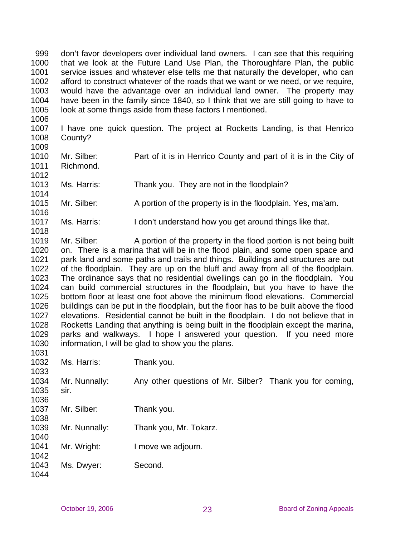999 1000 1001 1002 1003 1004 1005 don't favor developers over individual land owners. I can see that this requiring that we look at the Future Land Use Plan, the Thoroughfare Plan, the public service issues and whatever else tells me that naturally the developer, who can afford to construct whatever of the roads that we want or we need, or we require, would have the advantage over an individual land owner. The property may have been in the family since 1840, so I think that we are still going to have to look at some things aside from these factors I mentioned.

1006

1012

1014

1016

1018

1007 1008 1009 I have one quick question. The project at Rocketts Landing, is that Henrico County?

- 1010 1011 Mr. Silber: Part of it is in Henrico County and part of it is in the City of Richmond.
- 1013 Ms. Harris: Thank you. They are not in the floodplain?
- 1015 Mr. Silber: A portion of the property is in the floodplain. Yes, ma'am.
- 1017 Ms. Harris: I don't understand how you get around things like that.

1019 1020 1021 1022 1023 1024 1025 1026 1027 1028 1029 1030  $1021$ Mr. Silber: A portion of the property in the flood portion is not being built on. There is a marina that will be in the flood plain, and some open space and park land and some paths and trails and things. Buildings and structures are out of the floodplain. They are up on the bluff and away from all of the floodplain. The ordinance says that no residential dwellings can go in the floodplain. You can build commercial structures in the floodplain, but you have to have the bottom floor at least one foot above the minimum flood elevations. Commercial buildings can be put in the floodplain, but the floor has to be built above the flood elevations. Residential cannot be built in the floodplain. I do not believe that in Rocketts Landing that anything is being built in the floodplain except the marina, parks and walkways. I hope I answered your question. If you need more information, I will be glad to show you the plans.

| 1 U.S. I |               |                                                          |
|----------|---------------|----------------------------------------------------------|
| 1032     | Ms. Harris:   | Thank you.                                               |
| 1033     |               |                                                          |
| 1034     | Mr. Nunnally: | Any other questions of Mr. Silber? Thank you for coming, |
| 1035     | sir.          |                                                          |
| 1036     |               |                                                          |
| 1037     | Mr. Silber:   | Thank you.                                               |
| 1038     |               |                                                          |
| 1039     | Mr. Nunnally: | Thank you, Mr. Tokarz.                                   |
| 1040     |               |                                                          |
| 1041     | Mr. Wright:   | I move we adjourn.                                       |
| 1042     |               |                                                          |
| 1043     | Ms. Dwyer:    | Second.                                                  |
| 1044     |               |                                                          |